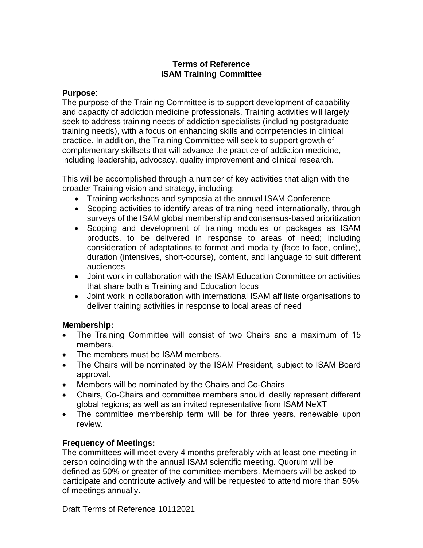# **Terms of Reference ISAM Training Committee**

### **Purpose**:

The purpose of the Training Committee is to support development of capability and capacity of addiction medicine professionals. Training activities will largely seek to address training needs of addiction specialists (including postgraduate training needs), with a focus on enhancing skills and competencies in clinical practice. In addition, the Training Committee will seek to support growth of complementary skillsets that will advance the practice of addiction medicine, including leadership, advocacy, quality improvement and clinical research.

This will be accomplished through a number of key activities that align with the broader Training vision and strategy, including:

- Training workshops and symposia at the annual ISAM Conference
- Scoping activities to identify areas of training need internationally, through surveys of the ISAM global membership and consensus-based prioritization
- Scoping and development of training modules or packages as ISAM products, to be delivered in response to areas of need; including consideration of adaptations to format and modality (face to face, online), duration (intensives, short-course), content, and language to suit different audiences
- Joint work in collaboration with the ISAM Education Committee on activities that share both a Training and Education focus
- Joint work in collaboration with international ISAM affiliate organisations to deliver training activities in response to local areas of need

# **Membership:**

- The Training Committee will consist of two Chairs and a maximum of 15 members.
- The members must be ISAM members.
- The Chairs will be nominated by the ISAM President, subject to ISAM Board approval.
- Members will be nominated by the Chairs and Co-Chairs
- Chairs, Co-Chairs and committee members should ideally represent different global regions; as well as an invited representative from ISAM NeXT
- The committee membership term will be for three years, renewable upon review.

# **Frequency of Meetings:**

The committees will meet every 4 months preferably with at least one meeting inperson coinciding with the annual ISAM scientific meeting. Quorum will be defined as 50% or greater of the committee members. Members will be asked to participate and contribute actively and will be requested to attend more than 50% of meetings annually.

Draft Terms of Reference 10112021